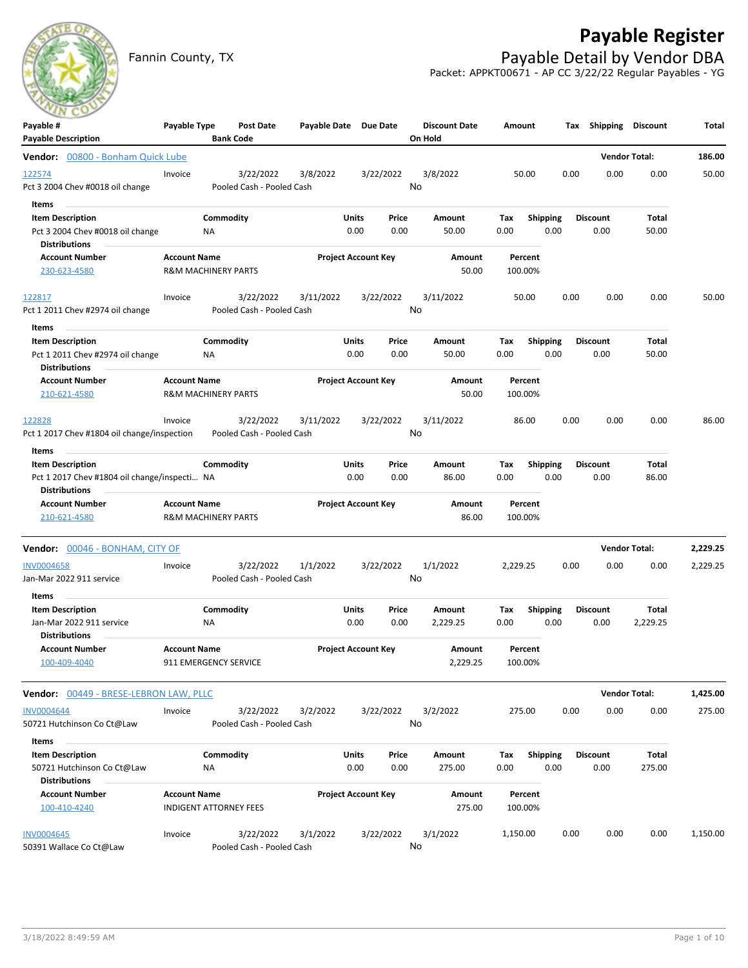# **Payable Register**



Fannin County, TX **Payable Detail by Vendor DBA** Packet: APPKT00671 - AP CC 3/22/22 Regular Payables - YG

| Payable #<br><b>Payable Description</b>                                                                            | Payable Type                                          |                 | Post Date<br><b>Bank Code</b>          | Payable Date Due Date |               |                            | <b>Discount Date</b><br>On Hold | Amount             |                         |      | Tax Shipping Discount   |                      | Total    |
|--------------------------------------------------------------------------------------------------------------------|-------------------------------------------------------|-----------------|----------------------------------------|-----------------------|---------------|----------------------------|---------------------------------|--------------------|-------------------------|------|-------------------------|----------------------|----------|
| Vendor: 00800 - Bonham Quick Lube                                                                                  |                                                       |                 |                                        |                       |               |                            |                                 |                    |                         |      |                         | <b>Vendor Total:</b> | 186.00   |
| 122574<br>Pct 3 2004 Chev #0018 oil change                                                                         | Invoice                                               |                 | 3/22/2022<br>Pooled Cash - Pooled Cash | 3/8/2022              |               | 3/22/2022                  | 3/8/2022<br>No                  | 50.00              |                         | 0.00 | 0.00                    | 0.00                 | 50.00    |
| Items<br><b>Item Description</b><br>Pct 3 2004 Chev #0018 oil change<br><b>Distributions</b>                       |                                                       | Commodity<br>NA |                                        |                       | Units<br>0.00 | Price<br>0.00              | Amount<br>50.00                 | Тах<br>0.00        | <b>Shipping</b><br>0.00 |      | <b>Discount</b><br>0.00 | Total<br>50.00       |          |
| <b>Account Number</b><br>230-623-4580                                                                              | <b>Account Name</b><br><b>R&amp;M MACHINERY PARTS</b> |                 |                                        |                       |               | <b>Project Account Key</b> | Amount<br>50.00                 | Percent<br>100.00% |                         |      |                         |                      |          |
| 122817<br>Pct 1 2011 Chev #2974 oil change<br>Items                                                                | Invoice                                               |                 | 3/22/2022<br>Pooled Cash - Pooled Cash | 3/11/2022             |               | 3/22/2022                  | 3/11/2022<br>No                 | 50.00              |                         | 0.00 | 0.00                    | 0.00                 | 50.00    |
| <b>Item Description</b><br>Pct 1 2011 Chev #2974 oil change<br><b>Distributions</b>                                |                                                       | Commodity<br>ΝA |                                        |                       | Units<br>0.00 | Price<br>0.00              | Amount<br>50.00                 | Tax<br>0.00        | <b>Shipping</b><br>0.00 |      | <b>Discount</b><br>0.00 | Total<br>50.00       |          |
| <b>Account Number</b><br>210-621-4580                                                                              | <b>Account Name</b><br><b>R&amp;M MACHINERY PARTS</b> |                 |                                        |                       |               | <b>Project Account Key</b> | Amount<br>50.00                 | Percent<br>100.00% |                         |      |                         |                      |          |
| 122828<br>Pct 1 2017 Chev #1804 oil change/inspection                                                              | Invoice                                               |                 | 3/22/2022<br>Pooled Cash - Pooled Cash | 3/11/2022             |               | 3/22/2022                  | 3/11/2022<br>No                 | 86.00              |                         | 0.00 | 0.00                    | 0.00                 | 86.00    |
| Items<br>$\sim$<br><b>Item Description</b><br>Pct 1 2017 Chev #1804 oil change/inspecti NA<br><b>Distributions</b> |                                                       | Commodity       |                                        |                       | Units<br>0.00 | Price<br>0.00              | Amount<br>86.00                 | Тах<br>0.00        | <b>Shipping</b><br>0.00 |      | <b>Discount</b><br>0.00 | Total<br>86.00       |          |
| <b>Account Number</b><br>210-621-4580                                                                              | <b>Account Name</b><br><b>R&amp;M MACHINERY PARTS</b> |                 |                                        |                       |               | <b>Project Account Key</b> | Amount<br>86.00                 | Percent<br>100.00% |                         |      |                         |                      |          |
| Vendor: 00046 - BONHAM, CITY OF                                                                                    |                                                       |                 |                                        |                       |               |                            |                                 |                    |                         |      |                         | <b>Vendor Total:</b> | 2,229.25 |
| <b>INV0004658</b><br>Jan-Mar 2022 911 service                                                                      | Invoice                                               |                 | 3/22/2022<br>Pooled Cash - Pooled Cash | 1/1/2022              |               | 3/22/2022                  | 1/1/2022<br>No                  | 2,229.25           |                         | 0.00 | 0.00                    | 0.00                 | 2,229.25 |
| Items<br><b>Item Description</b><br>Jan-Mar 2022 911 service<br><b>Distributions</b>                               |                                                       | Commodity<br>ΝA |                                        |                       | Units<br>0.00 | Price<br>0.00              | Amount<br>2,229.25              | Tax<br>0.00        | <b>Shipping</b><br>0.00 |      | <b>Discount</b><br>0.00 | Total<br>2,229.25    |          |
| <b>Account Number</b><br>100-409-4040                                                                              | <b>Account Name</b><br>911 EMERGENCY SERVICE          |                 |                                        |                       |               | <b>Project Account Key</b> | Amount<br>2,229.25              | Percent<br>100.00% |                         |      |                         |                      |          |
| Vendor: 00449 - BRESE-LEBRON LAW, PLLC                                                                             |                                                       |                 |                                        |                       |               |                            |                                 |                    |                         |      |                         | <b>Vendor Total:</b> | 1,425.00 |
| INV0004644<br>50721 Hutchinson Co Ct@Law                                                                           | Invoice                                               |                 | 3/22/2022<br>Pooled Cash - Pooled Cash | 3/2/2022              |               | 3/22/2022                  | 3/2/2022<br>No                  | 275.00             |                         | 0.00 | 0.00                    | 0.00                 | 275.00   |
| Items<br><b>Item Description</b><br>50721 Hutchinson Co Ct@Law<br><b>Distributions</b>                             |                                                       | Commodity<br>NA |                                        |                       | Units<br>0.00 | Price<br>0.00              | Amount<br>275.00                | Tax<br>0.00        | <b>Shipping</b><br>0.00 |      | <b>Discount</b><br>0.00 | Total<br>275.00      |          |
| <b>Account Number</b><br>100-410-4240                                                                              | <b>Account Name</b><br><b>INDIGENT ATTORNEY FEES</b>  |                 |                                        |                       |               | <b>Project Account Key</b> | Amount<br>275.00                | Percent<br>100.00% |                         |      |                         |                      |          |
| <b>INV0004645</b><br>50391 Wallace Co Ct@Law                                                                       | Invoice                                               |                 | 3/22/2022<br>Pooled Cash - Pooled Cash | 3/1/2022              |               | 3/22/2022                  | 3/1/2022<br>No                  | 1,150.00           |                         | 0.00 | 0.00                    | 0.00                 | 1,150.00 |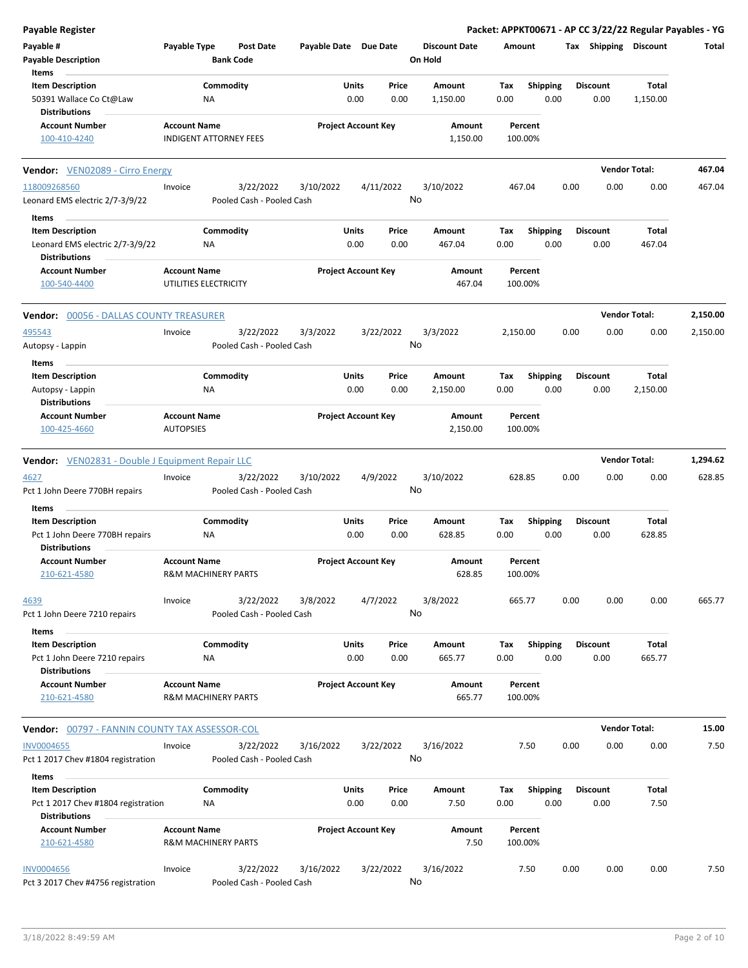| Payable Register                                           |                                                       |                                        |                       |                            |               |                      |             |                         |      |                         | Packet: APPKT00671 - AP CC 3/22/22 Regular Payables - YG |          |
|------------------------------------------------------------|-------------------------------------------------------|----------------------------------------|-----------------------|----------------------------|---------------|----------------------|-------------|-------------------------|------|-------------------------|----------------------------------------------------------|----------|
| Payable #                                                  | Payable Type                                          | Post Date                              | Payable Date Due Date |                            |               | <b>Discount Date</b> | Amount      |                         |      | Tax Shipping Discount   |                                                          | Total    |
| <b>Payable Description</b>                                 |                                                       | <b>Bank Code</b>                       |                       |                            |               | On Hold              |             |                         |      |                         |                                                          |          |
| Items                                                      |                                                       |                                        |                       |                            |               |                      |             |                         |      |                         |                                                          |          |
| <b>Item Description</b>                                    |                                                       | Commodity                              |                       | Units                      | Price         | <b>Amount</b>        | Tax         | <b>Shipping</b>         |      | <b>Discount</b>         | Total                                                    |          |
| 50391 Wallace Co Ct@Law<br><b>Distributions</b>            | ΝA                                                    |                                        |                       | 0.00                       | 0.00          | 1,150.00             | 0.00        | 0.00                    |      | 0.00                    | 1,150.00                                                 |          |
| <b>Account Number</b>                                      | <b>Account Name</b>                                   |                                        |                       | <b>Project Account Key</b> |               | Amount               |             | Percent                 |      |                         |                                                          |          |
| 100-410-4240                                               | <b>INDIGENT ATTORNEY FEES</b>                         |                                        |                       |                            |               | 1,150.00             |             | 100.00%                 |      |                         |                                                          |          |
| <b>Vendor:</b> VEN02089 - Cirro Energy                     |                                                       |                                        |                       |                            |               |                      |             |                         |      |                         | <b>Vendor Total:</b>                                     | 467.04   |
| 118009268560                                               | Invoice                                               | 3/22/2022                              | 3/10/2022             | 4/11/2022                  |               | 3/10/2022            |             | 467.04                  | 0.00 | 0.00                    | 0.00                                                     | 467.04   |
| Leonard EMS electric 2/7-3/9/22                            |                                                       | Pooled Cash - Pooled Cash              |                       |                            |               | No                   |             |                         |      |                         |                                                          |          |
| Items                                                      |                                                       |                                        |                       |                            |               |                      |             |                         |      |                         |                                                          |          |
| <b>Item Description</b><br>Leonard EMS electric 2/7-3/9/22 | ΝA                                                    | Commodity                              |                       | Units<br>0.00              | Price<br>0.00 | Amount<br>467.04     | Tax<br>0.00 | <b>Shipping</b><br>0.00 |      | <b>Discount</b><br>0.00 | Total<br>467.04                                          |          |
| <b>Distributions</b>                                       |                                                       |                                        |                       |                            |               |                      |             |                         |      |                         |                                                          |          |
| <b>Account Number</b>                                      | <b>Account Name</b>                                   |                                        |                       | <b>Project Account Key</b> |               | Amount               |             | Percent                 |      |                         |                                                          |          |
| 100-540-4400                                               | UTILITIES ELECTRICITY                                 |                                        |                       |                            |               | 467.04               |             | 100.00%                 |      |                         |                                                          |          |
| <b>Vendor: 00056 - DALLAS COUNTY TREASURER</b>             |                                                       |                                        |                       |                            |               |                      |             |                         |      |                         | <b>Vendor Total:</b>                                     | 2,150.00 |
| 495543                                                     | Invoice                                               | 3/22/2022                              | 3/3/2022              | 3/22/2022                  |               | 3/3/2022             | 2,150.00    |                         | 0.00 | 0.00                    | 0.00                                                     | 2,150.00 |
| Autopsy - Lappin                                           |                                                       | Pooled Cash - Pooled Cash              |                       |                            |               | No                   |             |                         |      |                         |                                                          |          |
| Items<br><b>Item Description</b>                           |                                                       | Commodity                              |                       | Units                      | Price         | Amount               | Tax         | <b>Shipping</b>         |      | <b>Discount</b>         | Total                                                    |          |
| Autopsy - Lappin                                           | NA                                                    |                                        |                       | 0.00                       | 0.00          | 2,150.00             | 0.00        | 0.00                    |      | 0.00                    | 2,150.00                                                 |          |
| <b>Distributions</b>                                       |                                                       |                                        |                       |                            |               |                      |             |                         |      |                         |                                                          |          |
| <b>Account Number</b>                                      | <b>Account Name</b>                                   |                                        |                       | <b>Project Account Key</b> |               | Amount               |             | Percent                 |      |                         |                                                          |          |
| 100-425-4660                                               | <b>AUTOPSIES</b>                                      |                                        |                       |                            |               | 2,150.00             |             | 100.00%                 |      |                         |                                                          |          |
| <b>Vendor:</b> VEN02831 - Double J Equipment Repair LLC    |                                                       |                                        |                       |                            |               |                      |             |                         |      |                         | <b>Vendor Total:</b>                                     | 1,294.62 |
| 4627                                                       | Invoice                                               | 3/22/2022                              | 3/10/2022             | 4/9/2022                   |               | 3/10/2022            |             | 628.85                  | 0.00 | 0.00                    | 0.00                                                     | 628.85   |
| Pct 1 John Deere 770BH repairs                             |                                                       | Pooled Cash - Pooled Cash              |                       |                            |               | No                   |             |                         |      |                         |                                                          |          |
| Items                                                      |                                                       |                                        |                       |                            |               |                      |             |                         |      |                         |                                                          |          |
| <b>Item Description</b>                                    |                                                       | Commodity                              |                       | Units                      | Price         | Amount               | Tax         | <b>Shipping</b>         |      | <b>Discount</b>         | Total                                                    |          |
| Pct 1 John Deere 770BH repairs<br><b>Distributions</b>     | ΝA                                                    |                                        |                       | 0.00                       | 0.00          | 628.85               | 0.00        | 0.00                    |      | 0.00                    | 628.85                                                   |          |
| <b>Account Number</b>                                      | <b>Account Name</b>                                   |                                        |                       | <b>Project Account Key</b> |               | Amount               |             | Percent                 |      |                         |                                                          |          |
| 210-621-4580                                               | <b>R&amp;M MACHINERY PARTS</b>                        |                                        |                       |                            |               | 628.85               |             | 100.00%                 |      |                         |                                                          |          |
| 4639<br>Pct 1 John Deere 7210 repairs                      | Invoice                                               | 3/22/2022<br>Pooled Cash - Pooled Cash | 3/8/2022              | 4/7/2022                   |               | 3/8/2022<br>No       |             | 665.77                  | 0.00 | 0.00                    | 0.00                                                     | 665.77   |
|                                                            |                                                       |                                        |                       |                            |               |                      |             |                         |      |                         |                                                          |          |
| Items<br><b>Item Description</b>                           |                                                       |                                        |                       | Units                      | Price         |                      |             |                         |      | <b>Discount</b>         | Total                                                    |          |
| Pct 1 John Deere 7210 repairs                              | ΝA                                                    | Commodity                              |                       | 0.00                       | 0.00          | Amount<br>665.77     | Tax<br>0.00 | <b>Shipping</b><br>0.00 |      | 0.00                    | 665.77                                                   |          |
| <b>Distributions</b>                                       |                                                       |                                        |                       |                            |               |                      |             |                         |      |                         |                                                          |          |
| <b>Account Number</b><br>210-621-4580                      | <b>Account Name</b><br><b>R&amp;M MACHINERY PARTS</b> |                                        |                       | <b>Project Account Key</b> |               | Amount<br>665.77     |             | Percent<br>100.00%      |      |                         |                                                          |          |
|                                                            |                                                       |                                        |                       |                            |               |                      |             |                         |      |                         |                                                          |          |
| <b>Vendor: 00797 - FANNIN COUNTY TAX ASSESSOR-COL</b>      |                                                       |                                        |                       |                            |               |                      |             |                         |      |                         | <b>Vendor Total:</b>                                     | 15.00    |
| <b>INV0004655</b>                                          | Invoice                                               | 3/22/2022                              | 3/16/2022             | 3/22/2022                  |               | 3/16/2022            |             | 7.50                    | 0.00 | 0.00                    | 0.00                                                     | 7.50     |
| Pct 1 2017 Chev #1804 registration                         |                                                       | Pooled Cash - Pooled Cash              |                       |                            |               | No                   |             |                         |      |                         |                                                          |          |
| Items                                                      |                                                       |                                        |                       |                            |               |                      |             |                         |      |                         |                                                          |          |
| <b>Item Description</b>                                    |                                                       | Commodity                              |                       | Units                      | Price         | Amount               | Tax         | <b>Shipping</b>         |      | <b>Discount</b>         | Total                                                    |          |
| Pct 1 2017 Chev #1804 registration                         | ΝA                                                    |                                        |                       | 0.00                       | 0.00          | 7.50                 | 0.00        | 0.00                    |      | 0.00                    | 7.50                                                     |          |
| <b>Distributions</b>                                       |                                                       |                                        |                       |                            |               |                      |             |                         |      |                         |                                                          |          |
| <b>Account Number</b><br>210-621-4580                      | <b>Account Name</b><br><b>R&amp;M MACHINERY PARTS</b> |                                        |                       | <b>Project Account Key</b> |               | Amount<br>7.50       |             | Percent<br>100.00%      |      |                         |                                                          |          |
| <b>INV0004656</b>                                          | Invoice                                               | 3/22/2022                              | 3/16/2022             | 3/22/2022                  |               | 3/16/2022            |             | 7.50                    | 0.00 | 0.00                    | 0.00                                                     | 7.50     |
| Pct 3 2017 Chev #4756 registration                         |                                                       | Pooled Cash - Pooled Cash              |                       |                            |               | No                   |             |                         |      |                         |                                                          |          |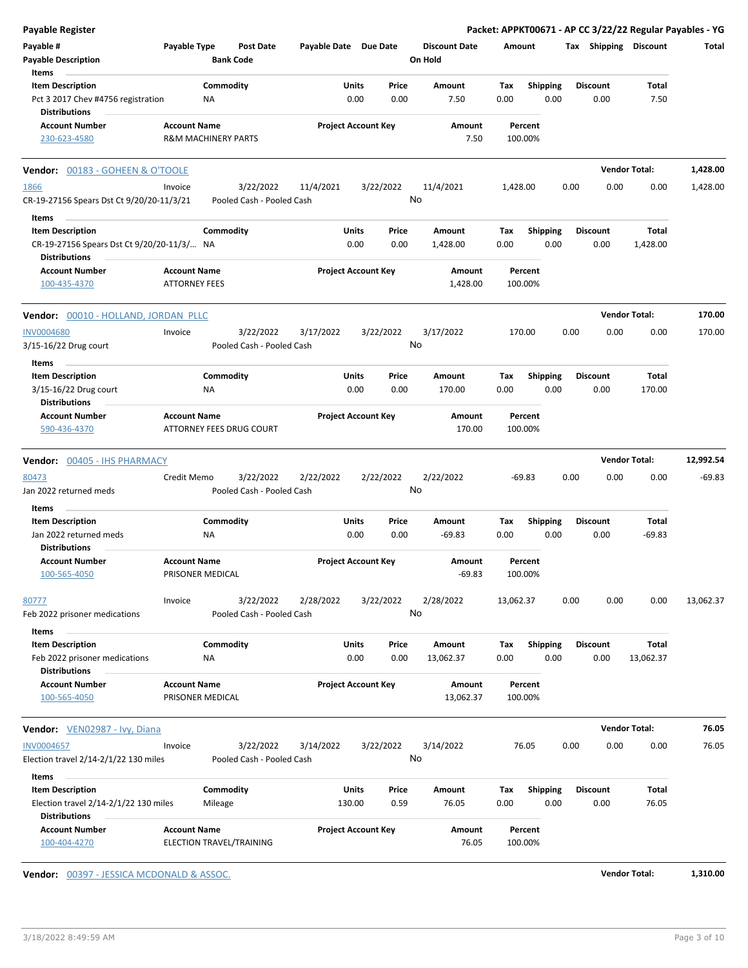|           | Packet: APPKT00671 - AP CC 3/22/22 Regular Payables - YG |                         |      |                         |                    |                                 |                 |                            |                       |                                        |                                             | Payable Register                                                                 |
|-----------|----------------------------------------------------------|-------------------------|------|-------------------------|--------------------|---------------------------------|-----------------|----------------------------|-----------------------|----------------------------------------|---------------------------------------------|----------------------------------------------------------------------------------|
| Total     |                                                          | Tax Shipping Discount   |      |                         | Amount             | <b>Discount Date</b><br>On Hold |                 |                            | Payable Date Due Date | <b>Post Date</b><br><b>Bank Code</b>   | Payable Type                                | Payable #<br><b>Payable Description</b>                                          |
|           | Total                                                    | <b>Discount</b>         |      | <b>Shipping</b>         | Tax                | Amount                          | Price           | Units                      |                       | Commodity                              |                                             | Items<br><b>Item Description</b>                                                 |
|           | 7.50                                                     | 0.00                    |      | 0.00                    | 0.00               | 7.50                            | 0.00            | 0.00                       |                       | ΝA                                     |                                             | Pct 3 2017 Chev #4756 registration<br><b>Distributions</b>                       |
|           |                                                          |                         |      |                         | Percent<br>100.00% | Amount<br>7.50                  |                 | <b>Project Account Key</b> |                       | <b>R&amp;M MACHINERY PARTS</b>         | <b>Account Name</b>                         | <b>Account Number</b><br>230-623-4580                                            |
| 1,428.00  |                                                          | <b>Vendor Total:</b>    |      |                         |                    |                                 |                 |                            |                       |                                        |                                             | <b>Vendor: 00183 - GOHEEN &amp; O'TOOLE</b>                                      |
| 1,428.00  | 0.00                                                     | 0.00                    | 0.00 |                         | 1,428.00           | 11/4/2021                       | 3/22/2022       |                            | 11/4/2021             | 3/22/2022                              | Invoice                                     | 1866                                                                             |
|           |                                                          |                         |      |                         |                    |                                 | No              |                            |                       | Pooled Cash - Pooled Cash              |                                             | CR-19-27156 Spears Dst Ct 9/20/20-11/3/21                                        |
|           |                                                          |                         |      |                         |                    |                                 |                 |                            |                       |                                        |                                             | Items                                                                            |
|           | Total                                                    | <b>Discount</b>         |      | <b>Shipping</b>         | Tax                | Amount                          | Price           | Units                      |                       | Commodity                              |                                             | <b>Item Description</b>                                                          |
|           | 1,428.00                                                 | 0.00                    |      | 0.00                    | 0.00               | 1,428.00                        | 0.00            | 0.00                       |                       |                                        |                                             | CR-19-27156 Spears Dst Ct 9/20/20-11/3/ NA<br><b>Distributions</b>               |
|           |                                                          |                         |      |                         | Percent<br>100.00% | Amount<br>1,428.00              |                 | <b>Project Account Key</b> |                       |                                        | <b>Account Name</b><br><b>ATTORNEY FEES</b> | <b>Account Number</b><br>100-435-4370                                            |
| 170.00    |                                                          | <b>Vendor Total:</b>    |      |                         |                    |                                 |                 |                            |                       |                                        |                                             | Vendor: 00010 - HOLLAND, JORDAN PLLC                                             |
| 170.00    | 0.00                                                     | 0.00                    | 0.00 |                         | 170.00             | 3/17/2022                       | 3/22/2022<br>No |                            | 3/17/2022             | 3/22/2022<br>Pooled Cash - Pooled Cash | Invoice                                     | <b>INV0004680</b><br>3/15-16/22 Drug court                                       |
|           |                                                          |                         |      |                         |                    |                                 |                 |                            |                       |                                        |                                             | Items                                                                            |
|           | Total<br>170.00                                          | <b>Discount</b><br>0.00 |      | <b>Shipping</b><br>0.00 | Tax<br>0.00        | Amount<br>170.00                | Price<br>0.00   | Units<br>0.00              |                       | Commodity<br>ΝA                        |                                             | <b>Item Description</b><br>3/15-16/22 Drug court                                 |
|           |                                                          |                         |      |                         | Percent            | Amount                          |                 | <b>Project Account Key</b> |                       |                                        | <b>Account Name</b>                         | <b>Distributions</b><br><b>Account Number</b>                                    |
|           |                                                          |                         |      |                         | 100.00%            | 170.00                          |                 |                            |                       | ATTORNEY FEES DRUG COURT               |                                             | 590-436-4370                                                                     |
| 12,992.54 |                                                          | <b>Vendor Total:</b>    |      |                         |                    |                                 |                 |                            |                       |                                        |                                             | Vendor: 00405 - IHS PHARMACY                                                     |
| $-69.83$  | 0.00                                                     | 0.00                    | 0.00 |                         | $-69.83$           | 2/22/2022                       | 2/22/2022<br>No |                            | 2/22/2022             | 3/22/2022<br>Pooled Cash - Pooled Cash | Credit Memo                                 | 80473<br>Jan 2022 returned meds                                                  |
|           |                                                          |                         |      |                         |                    |                                 |                 |                            |                       |                                        |                                             | Items                                                                            |
|           | Total                                                    | <b>Discount</b>         |      | Shipping                | Tax                | Amount                          | Price           | Units                      |                       | Commodity                              |                                             | <b>Item Description</b>                                                          |
|           | $-69.83$                                                 | 0.00                    |      | 0.00                    | 0.00               | $-69.83$                        | 0.00            | 0.00                       |                       | ΝA                                     |                                             | Jan 2022 returned meds<br><b>Distributions</b>                                   |
|           |                                                          |                         |      |                         | Percent<br>100.00% | Amount<br>$-69.83$              |                 | <b>Project Account Key</b> |                       |                                        | <b>Account Name</b><br>PRISONER MEDICAL     | <b>Account Number</b><br>100-565-4050                                            |
| 13,062.37 | 0.00                                                     | 0.00                    | 0.00 |                         | 13,062.37          | 2/28/2022                       | 3/22/2022<br>No |                            | 2/28/2022             | 3/22/2022<br>Pooled Cash - Pooled Cash | Invoice                                     | 80777<br>Feb 2022 prisoner medications                                           |
|           |                                                          |                         |      |                         |                    |                                 |                 |                            |                       |                                        |                                             | Items                                                                            |
|           | Total<br>13,062.37                                       | <b>Discount</b><br>0.00 |      | Shipping<br>0.00        | Tax<br>0.00        | Amount<br>13,062.37             | Price<br>0.00   | Units<br>0.00              |                       | Commodity<br>ΝA                        |                                             | <b>Item Description</b><br>Feb 2022 prisoner medications<br><b>Distributions</b> |
|           |                                                          |                         |      |                         | Percent            | Amount                          |                 | <b>Project Account Key</b> |                       |                                        | <b>Account Name</b>                         | <b>Account Number</b>                                                            |
|           |                                                          |                         |      |                         | 100.00%            | 13,062.37                       |                 |                            |                       |                                        | PRISONER MEDICAL                            | 100-565-4050                                                                     |
| 76.05     |                                                          | <b>Vendor Total:</b>    |      |                         |                    |                                 |                 |                            |                       |                                        |                                             | Vendor: VEN02987 - Ivy, Diana                                                    |
| 76.05     | 0.00                                                     | 0.00                    | 0.00 |                         | 76.05              | 3/14/2022                       | 3/22/2022<br>No |                            | 3/14/2022             | 3/22/2022<br>Pooled Cash - Pooled Cash | Invoice                                     | <b>INV0004657</b><br>Election travel 2/14-2/1/22 130 miles                       |
|           |                                                          |                         |      |                         |                    |                                 |                 |                            |                       |                                        |                                             |                                                                                  |
|           | Total                                                    | <b>Discount</b>         |      | <b>Shipping</b>         | Tax                | Amount                          | Price           | Units                      |                       | Commodity                              |                                             | Items<br><b>Item Description</b>                                                 |
|           | 76.05                                                    | 0.00                    |      | 0.00                    | 0.00               | 76.05                           | 0.59            | 130.00                     |                       | Mileage                                |                                             | Election travel 2/14-2/1/22 130 miles<br><b>Distributions</b>                    |
|           |                                                          |                         |      |                         | Percent<br>100.00% | Amount<br>76.05                 |                 | <b>Project Account Key</b> |                       | ELECTION TRAVEL/TRAINING               | <b>Account Name</b>                         | <b>Account Number</b><br>100-404-4270                                            |

**Vendor:** 00397 - JESSICA MCDONALD & ASSOC. **Vendor Total: 1,310.00**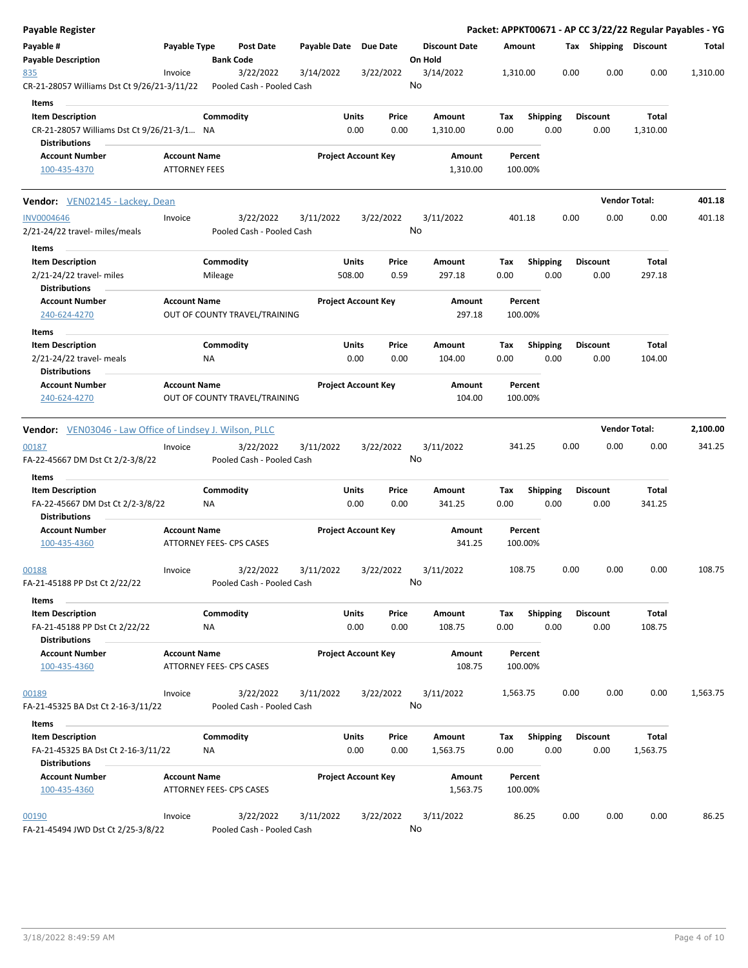| <b>Payable Register</b>                                                               |                                                 |                      |                                        |                       |                            |               |                                 |                    |                         |      |                         |                      | Packet: APPKT00671 - AP CC 3/22/22 Regular Payables - YG |
|---------------------------------------------------------------------------------------|-------------------------------------------------|----------------------|----------------------------------------|-----------------------|----------------------------|---------------|---------------------------------|--------------------|-------------------------|------|-------------------------|----------------------|----------------------------------------------------------|
| Payable #<br><b>Payable Description</b>                                               | Payable Type                                    |                      | Post Date<br><b>Bank Code</b>          | Payable Date Due Date |                            |               | <b>Discount Date</b><br>On Hold | Amount             |                         |      | Tax Shipping Discount   |                      | Total                                                    |
| 835<br>CR-21-28057 Williams Dst Ct 9/26/21-3/11/22                                    | Invoice                                         |                      | 3/22/2022<br>Pooled Cash - Pooled Cash | 3/14/2022             |                            | 3/22/2022     | 3/14/2022<br>No                 | 1,310.00           |                         | 0.00 | 0.00                    | 0.00                 | 1,310.00                                                 |
| Items                                                                                 |                                                 |                      |                                        |                       |                            |               |                                 |                    |                         |      |                         |                      |                                                          |
| <b>Item Description</b>                                                               |                                                 | Commodity            |                                        |                       | Units                      | Price         | Amount                          | Tax                | <b>Shipping</b>         |      | <b>Discount</b>         | Total                |                                                          |
| CR-21-28057 Williams Dst Ct 9/26/21-3/1 NA<br><b>Distributions</b>                    |                                                 |                      |                                        |                       | 0.00                       | 0.00          | 1,310.00                        | 0.00               | 0.00                    |      | 0.00                    | 1,310.00             |                                                          |
| <b>Account Number</b><br>100-435-4370                                                 | <b>Account Name</b><br><b>ATTORNEY FEES</b>     |                      |                                        |                       | <b>Project Account Key</b> |               | Amount<br>1,310.00              | Percent<br>100.00% |                         |      |                         |                      |                                                          |
| Vendor: VEN02145 - Lackey, Dean                                                       |                                                 |                      |                                        |                       |                            |               |                                 |                    |                         |      |                         | <b>Vendor Total:</b> | 401.18                                                   |
| <b>INV0004646</b>                                                                     | Invoice                                         |                      | 3/22/2022                              | 3/11/2022             |                            | 3/22/2022     | 3/11/2022                       | 401.18             |                         | 0.00 | 0.00                    | 0.00                 | 401.18                                                   |
| 2/21-24/22 travel- miles/meals<br>Items                                               |                                                 |                      | Pooled Cash - Pooled Cash              |                       |                            |               | No                              |                    |                         |      |                         |                      |                                                          |
| <b>Item Description</b><br>2/21-24/22 travel- miles<br><b>Distributions</b>           |                                                 | Commodity<br>Mileage |                                        |                       | Units<br>508.00            | Price<br>0.59 | Amount<br>297.18                | Tax<br>0.00        | <b>Shipping</b><br>0.00 |      | Discount<br>0.00        | Total<br>297.18      |                                                          |
| <b>Account Number</b><br>240-624-4270                                                 | <b>Account Name</b>                             |                      | OUT OF COUNTY TRAVEL/TRAINING          |                       | <b>Project Account Key</b> |               | Amount<br>297.18                | Percent<br>100.00% |                         |      |                         |                      |                                                          |
| Items                                                                                 |                                                 |                      |                                        |                       |                            |               |                                 |                    |                         |      |                         |                      |                                                          |
| <b>Item Description</b><br>2/21-24/22 travel- meals<br><b>Distributions</b>           |                                                 | Commodity<br>ΝA      |                                        |                       | Units<br>0.00              | Price<br>0.00 | Amount<br>104.00                | Tax<br>0.00        | <b>Shipping</b><br>0.00 |      | <b>Discount</b><br>0.00 | Total<br>104.00      |                                                          |
| <b>Account Number</b><br>240-624-4270                                                 | <b>Account Name</b>                             |                      | OUT OF COUNTY TRAVEL/TRAINING          |                       | <b>Project Account Key</b> |               | Amount<br>104.00                | Percent<br>100.00% |                         |      |                         |                      |                                                          |
| Vendor: VEN03046 - Law Office of Lindsey J. Wilson, PLLC                              |                                                 |                      |                                        |                       |                            |               |                                 |                    |                         |      |                         | <b>Vendor Total:</b> | 2,100.00                                                 |
| 00187<br>FA-22-45667 DM Dst Ct 2/2-3/8/22                                             | Invoice                                         |                      | 3/22/2022<br>Pooled Cash - Pooled Cash | 3/11/2022             |                            | 3/22/2022     | 3/11/2022<br>No                 | 341.25             |                         | 0.00 | 0.00                    | 0.00                 | 341.25                                                   |
| Items                                                                                 |                                                 |                      |                                        |                       |                            |               |                                 |                    |                         |      |                         |                      |                                                          |
| <b>Item Description</b>                                                               |                                                 | Commodity            |                                        |                       | Units                      | Price         | Amount                          | Tax                | <b>Shipping</b>         |      | <b>Discount</b>         | Total                |                                                          |
| FA-22-45667 DM Dst Ct 2/2-3/8/22<br><b>Distributions</b>                              |                                                 | ΝA                   |                                        |                       | 0.00                       | 0.00          | 341.25                          | 0.00               | 0.00                    |      | 0.00                    | 341.25               |                                                          |
| <b>Account Number</b><br>100-435-4360                                                 | <b>Account Name</b><br>ATTORNEY FEES- CPS CASES |                      |                                        |                       | <b>Project Account Key</b> |               | Amount<br>341.25                | Percent<br>100.00% |                         |      |                         |                      |                                                          |
| 00188<br>FA-21-45188 PP Dst Ct 2/22/22                                                | Invoice                                         |                      | 3/22/2022<br>Pooled Cash - Pooled Cash | 3/11/2022             |                            | 3/22/2022     | 3/11/2022<br>No                 | 108.75             |                         | 0.00 | 0.00                    | 0.00                 | 108.75                                                   |
| Items                                                                                 |                                                 |                      |                                        |                       |                            |               |                                 |                    |                         |      |                         |                      |                                                          |
| <b>Item Description</b><br>FA-21-45188 PP Dst Ct 2/22/22                              |                                                 | Commodity<br>NA      |                                        |                       | Units<br>0.00              | Price<br>0.00 | Amount<br>108.75                | Tax<br>0.00        | Shipping<br>0.00        |      | <b>Discount</b><br>0.00 | Total<br>108.75      |                                                          |
| <b>Distributions</b><br><b>Account Number</b><br>100-435-4360                         | <b>Account Name</b><br>ATTORNEY FEES- CPS CASES |                      |                                        |                       | <b>Project Account Key</b> |               | Amount<br>108.75                | Percent<br>100.00% |                         |      |                         |                      |                                                          |
|                                                                                       |                                                 |                      |                                        |                       |                            |               |                                 |                    |                         |      |                         |                      |                                                          |
| 00189<br>FA-21-45325 BA Dst Ct 2-16-3/11/22                                           | Invoice                                         |                      | 3/22/2022<br>Pooled Cash - Pooled Cash | 3/11/2022             |                            | 3/22/2022     | 3/11/2022<br>No                 | 1,563.75           |                         | 0.00 | 0.00                    | 0.00                 | 1,563.75                                                 |
| Items<br>$\sim$                                                                       |                                                 |                      |                                        |                       |                            |               |                                 |                    |                         |      |                         |                      |                                                          |
| <b>Item Description</b><br>FA-21-45325 BA Dst Ct 2-16-3/11/22<br><b>Distributions</b> |                                                 | Commodity<br>ΝA      |                                        |                       | Units<br>0.00              | Price<br>0.00 | Amount<br>1,563.75              | Tax<br>0.00        | Shipping<br>0.00        |      | Discount<br>0.00        | Total<br>1,563.75    |                                                          |
| <b>Account Number</b><br>100-435-4360                                                 | <b>Account Name</b><br>ATTORNEY FEES- CPS CASES |                      |                                        |                       | <b>Project Account Key</b> |               | Amount<br>1,563.75              | Percent<br>100.00% |                         |      |                         |                      |                                                          |
|                                                                                       |                                                 |                      |                                        |                       |                            |               |                                 |                    |                         |      |                         |                      |                                                          |
| 00190<br>FA-21-45494 JWD Dst Ct 2/25-3/8/22                                           | Invoice                                         |                      | 3/22/2022<br>Pooled Cash - Pooled Cash | 3/11/2022             |                            | 3/22/2022     | 3/11/2022<br>No                 | 86.25              |                         | 0.00 | 0.00                    | 0.00                 | 86.25                                                    |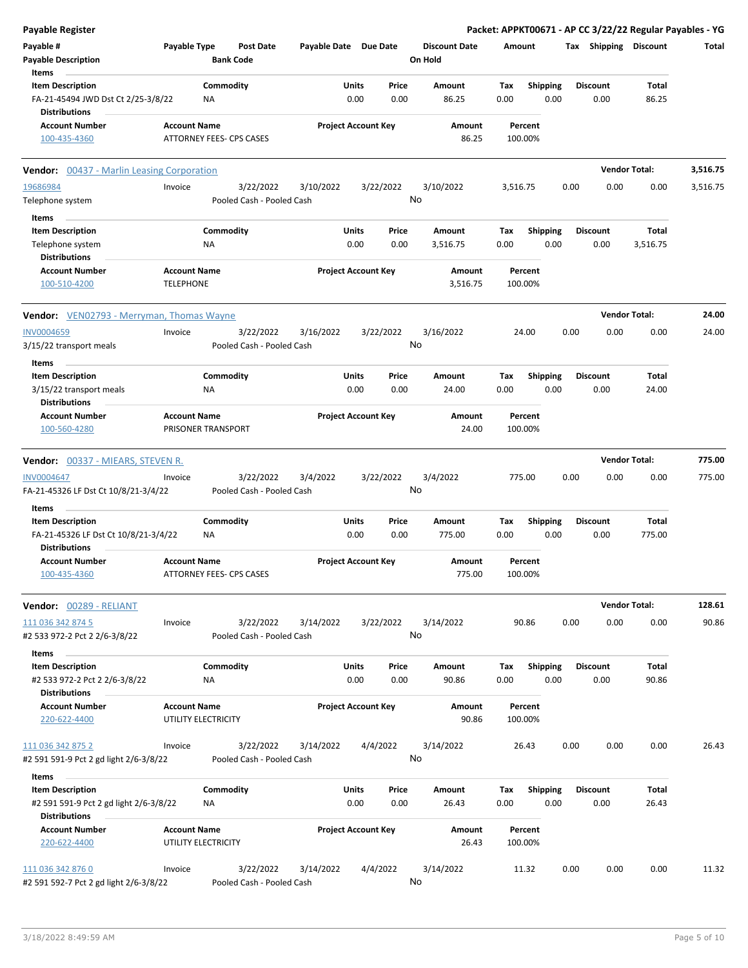| Payable Register                                                                      |                                            |                                      |                       |                                |                                 |             |                         |      |                         | Packet: APPKT00671 - AP CC 3/22/22 Regular Payables - YG |          |
|---------------------------------------------------------------------------------------|--------------------------------------------|--------------------------------------|-----------------------|--------------------------------|---------------------------------|-------------|-------------------------|------|-------------------------|----------------------------------------------------------|----------|
| Payable #<br><b>Payable Description</b>                                               | Payable Type                               | <b>Post Date</b><br><b>Bank Code</b> | Payable Date Due Date |                                | <b>Discount Date</b><br>On Hold | Amount      |                         |      |                         | Tax Shipping Discount                                    | Total    |
| Items                                                                                 |                                            |                                      |                       |                                |                                 |             |                         |      |                         |                                                          |          |
| <b>Item Description</b><br>FA-21-45494 JWD Dst Ct 2/25-3/8/22<br><b>Distributions</b> |                                            | Commodity<br>NA                      |                       | Units<br>Price<br>0.00<br>0.00 | Amount<br>86.25                 | Tax<br>0.00 | <b>Shipping</b><br>0.00 |      | <b>Discount</b><br>0.00 | Total<br>86.25                                           |          |
| <b>Account Number</b>                                                                 | <b>Account Name</b>                        |                                      |                       | <b>Project Account Key</b>     | Amount                          |             | Percent                 |      |                         |                                                          |          |
| 100-435-4360                                                                          |                                            | ATTORNEY FEES- CPS CASES             |                       |                                | 86.25                           |             | 100.00%                 |      |                         |                                                          |          |
| <b>Vendor:</b> 00437 - Marlin Leasing Corporation                                     |                                            |                                      |                       |                                |                                 |             |                         |      |                         | <b>Vendor Total:</b>                                     | 3,516.75 |
| 19686984                                                                              | Invoice                                    | 3/22/2022                            | 3/10/2022             | 3/22/2022                      | 3/10/2022                       | 3,516.75    |                         | 0.00 | 0.00                    | 0.00                                                     | 3,516.75 |
| Telephone system                                                                      |                                            | Pooled Cash - Pooled Cash            |                       |                                | No                              |             |                         |      |                         |                                                          |          |
| Items                                                                                 |                                            |                                      |                       |                                |                                 |             |                         |      |                         |                                                          |          |
| <b>Item Description</b>                                                               |                                            | Commodity                            |                       | Units<br>Price                 | Amount                          | Tax         | <b>Shipping</b>         |      | <b>Discount</b>         | Total                                                    |          |
| Telephone system                                                                      |                                            | <b>NA</b>                            |                       | 0.00<br>0.00                   | 3,516.75                        | 0.00        | 0.00                    |      | 0.00                    | 3,516.75                                                 |          |
| <b>Distributions</b>                                                                  |                                            |                                      |                       |                                |                                 |             |                         |      |                         |                                                          |          |
| <b>Account Number</b>                                                                 | <b>Account Name</b>                        |                                      |                       | <b>Project Account Key</b>     | Amount                          |             | Percent                 |      |                         |                                                          |          |
| 100-510-4200                                                                          | <b>TELEPHONE</b>                           |                                      |                       |                                | 3,516.75                        |             | 100.00%                 |      |                         |                                                          |          |
| <b>Vendor:</b> VEN02793 - Merryman, Thomas Wayne                                      |                                            |                                      |                       |                                |                                 |             |                         |      |                         | <b>Vendor Total:</b>                                     | 24.00    |
| <b>INV0004659</b>                                                                     | Invoice                                    | 3/22/2022                            | 3/16/2022             | 3/22/2022                      | 3/16/2022                       |             | 24.00                   | 0.00 | 0.00                    | 0.00                                                     | 24.00    |
| 3/15/22 transport meals                                                               |                                            | Pooled Cash - Pooled Cash            |                       |                                | No                              |             |                         |      |                         |                                                          |          |
| Items                                                                                 |                                            |                                      |                       |                                |                                 |             |                         |      |                         |                                                          |          |
| <b>Item Description</b>                                                               |                                            | Commodity<br>NA                      |                       | Units<br>Price<br>0.00<br>0.00 | Amount<br>24.00                 | Tax<br>0.00 | <b>Shipping</b><br>0.00 |      | <b>Discount</b><br>0.00 | Total<br>24.00                                           |          |
| 3/15/22 transport meals<br><b>Distributions</b>                                       |                                            |                                      |                       |                                |                                 |             |                         |      |                         |                                                          |          |
| <b>Account Number</b>                                                                 | <b>Account Name</b>                        |                                      |                       | <b>Project Account Key</b>     | Amount                          |             | Percent                 |      |                         |                                                          |          |
| 100-560-4280                                                                          |                                            | PRISONER TRANSPORT                   |                       |                                | 24.00                           |             | 100.00%                 |      |                         |                                                          |          |
|                                                                                       |                                            |                                      |                       |                                |                                 |             |                         |      |                         |                                                          |          |
| <b>Vendor:</b> 00337 - MIEARS, STEVEN R.                                              |                                            |                                      |                       |                                |                                 |             |                         |      |                         | <b>Vendor Total:</b>                                     | 775.00   |
| <b>INV0004647</b>                                                                     | Invoice                                    | 3/22/2022                            | 3/4/2022              | 3/22/2022                      | 3/4/2022                        |             | 775.00                  | 0.00 | 0.00                    | 0.00                                                     | 775.00   |
| FA-21-45326 LF Dst Ct 10/8/21-3/4/22                                                  |                                            | Pooled Cash - Pooled Cash            |                       |                                | No                              |             |                         |      |                         |                                                          |          |
| Items                                                                                 |                                            |                                      |                       |                                |                                 |             |                         |      |                         |                                                          |          |
| <b>Item Description</b>                                                               |                                            | Commodity                            |                       | <b>Units</b><br>Price          | Amount                          | Tax         | <b>Shipping</b>         |      | <b>Discount</b>         | Total                                                    |          |
| FA-21-45326 LF Dst Ct 10/8/21-3/4/22                                                  |                                            | ΝA                                   |                       | 0.00<br>0.00                   | 775.00                          | 0.00        | 0.00                    |      | 0.00                    | 775.00                                                   |          |
| <b>Distributions</b>                                                                  |                                            |                                      |                       |                                |                                 |             |                         |      |                         |                                                          |          |
| <b>Account Number</b>                                                                 | <b>Account Name</b>                        |                                      |                       | <b>Project Account Key</b>     | Amount                          |             | Percent                 |      |                         |                                                          |          |
| 100-435-4360                                                                          |                                            | ATTORNEY FEES- CPS CASES             |                       |                                | 775.00                          |             | 100.00%                 |      |                         |                                                          |          |
| Vendor: 00289 - RELIANT                                                               |                                            |                                      |                       |                                |                                 |             |                         |      |                         | <b>Vendor Total:</b>                                     | 128.61   |
| 111 036 342 874 5                                                                     | Invoice                                    | 3/22/2022                            | 3/14/2022             | 3/22/2022                      | 3/14/2022                       |             | 90.86                   | 0.00 | 0.00                    | 0.00                                                     | 90.86    |
| #2 533 972-2 Pct 2 2/6-3/8/22                                                         |                                            | Pooled Cash - Pooled Cash            |                       |                                | No                              |             |                         |      |                         |                                                          |          |
| Items                                                                                 |                                            |                                      |                       |                                |                                 |             |                         |      |                         |                                                          |          |
| <b>Item Description</b>                                                               |                                            | Commodity                            |                       | Units<br>Price                 | Amount                          | Tax         | <b>Shipping</b>         |      | <b>Discount</b>         | Total                                                    |          |
| #2 533 972-2 Pct 2 2/6-3/8/22                                                         |                                            | NA                                   |                       | 0.00<br>0.00                   | 90.86                           | 0.00        | 0.00                    |      | 0.00                    | 90.86                                                    |          |
| <b>Distributions</b>                                                                  |                                            |                                      |                       |                                |                                 |             |                         |      |                         |                                                          |          |
| <b>Account Number</b>                                                                 | <b>Account Name</b>                        |                                      |                       | <b>Project Account Key</b>     | Amount                          |             | Percent                 |      |                         |                                                          |          |
| 220-622-4400                                                                          | UTILITY ELECTRICITY                        |                                      |                       |                                | 90.86                           |             | 100.00%                 |      |                         |                                                          |          |
| 111 036 342 875 2                                                                     | Invoice                                    | 3/22/2022                            | 3/14/2022             | 4/4/2022                       | 3/14/2022                       |             | 26.43                   | 0.00 | 0.00                    | 0.00                                                     | 26.43    |
| #2 591 591-9 Pct 2 gd light 2/6-3/8/22                                                |                                            | Pooled Cash - Pooled Cash            |                       |                                | No                              |             |                         |      |                         |                                                          |          |
| Items                                                                                 |                                            |                                      |                       |                                |                                 |             |                         |      |                         |                                                          |          |
| <b>Item Description</b>                                                               |                                            | Commodity                            |                       | Units<br>Price                 | Amount                          | Tax         | <b>Shipping</b>         |      | <b>Discount</b>         | Total                                                    |          |
| #2 591 591-9 Pct 2 gd light 2/6-3/8/22                                                |                                            | NA                                   |                       | 0.00<br>0.00                   | 26.43                           | 0.00        | 0.00                    |      | 0.00                    | 26.43                                                    |          |
| <b>Distributions</b>                                                                  |                                            |                                      |                       |                                |                                 |             |                         |      |                         |                                                          |          |
| <b>Account Number</b><br>220-622-4400                                                 | <b>Account Name</b><br>UTILITY ELECTRICITY |                                      |                       | <b>Project Account Key</b>     | Amount<br>26.43                 |             | Percent<br>100.00%      |      |                         |                                                          |          |
| 111 036 342 876 0                                                                     | Invoice                                    | 3/22/2022                            | 3/14/2022             | 4/4/2022                       | 3/14/2022                       |             | 11.32                   | 0.00 | 0.00                    | 0.00                                                     | 11.32    |
| #2 591 592-7 Pct 2 gd light 2/6-3/8/22                                                |                                            | Pooled Cash - Pooled Cash            |                       |                                | No                              |             |                         |      |                         |                                                          |          |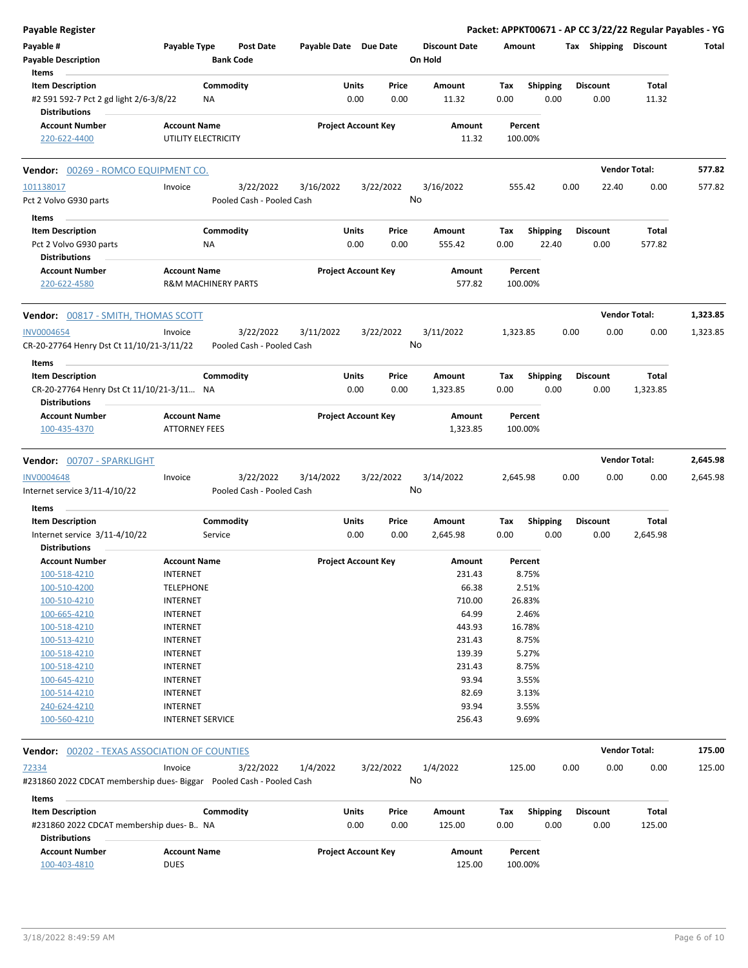| <b>Payable Register</b>                                           |                                                       |           |                                      |                       |                            |           |                                 |          |                 |      |                       | Packet: APPKT00671 - AP CC 3/22/22 Regular Payables - YG |          |
|-------------------------------------------------------------------|-------------------------------------------------------|-----------|--------------------------------------|-----------------------|----------------------------|-----------|---------------------------------|----------|-----------------|------|-----------------------|----------------------------------------------------------|----------|
| Payable #<br><b>Payable Description</b>                           | Payable Type                                          |           | <b>Post Date</b><br><b>Bank Code</b> | Payable Date Due Date |                            |           | <b>Discount Date</b><br>On Hold | Amount   |                 |      | Tax Shipping Discount |                                                          | Total    |
| Items                                                             |                                                       |           |                                      |                       |                            |           |                                 |          |                 |      |                       |                                                          |          |
| <b>Item Description</b>                                           |                                                       | Commodity |                                      |                       | Units                      | Price     | Amount                          | Tax      | <b>Shipping</b> |      | <b>Discount</b>       | Total                                                    |          |
| #2 591 592-7 Pct 2 gd light 2/6-3/8/22<br><b>Distributions</b>    |                                                       | ΝA        |                                      |                       | 0.00                       | 0.00      | 11.32                           | 0.00     | 0.00            |      | 0.00                  | 11.32                                                    |          |
| <b>Account Number</b>                                             | <b>Account Name</b>                                   |           |                                      |                       | <b>Project Account Key</b> |           | Amount                          |          | Percent         |      |                       |                                                          |          |
| 220-622-4400                                                      | UTILITY ELECTRICITY                                   |           |                                      |                       |                            |           | 11.32                           | 100.00%  |                 |      |                       |                                                          |          |
| Vendor: 00269 - ROMCO EQUIPMENT CO.                               |                                                       |           |                                      |                       |                            |           |                                 |          |                 |      | <b>Vendor Total:</b>  |                                                          | 577.82   |
| 101138017                                                         | Invoice                                               |           | 3/22/2022                            | 3/16/2022             |                            | 3/22/2022 | 3/16/2022                       | 555.42   |                 | 0.00 | 22.40                 | 0.00                                                     | 577.82   |
| Pct 2 Volvo G930 parts                                            |                                                       |           | Pooled Cash - Pooled Cash            |                       |                            | No        |                                 |          |                 |      |                       |                                                          |          |
| Items                                                             |                                                       |           |                                      |                       |                            |           |                                 |          |                 |      |                       |                                                          |          |
| <b>Item Description</b>                                           |                                                       | Commodity |                                      |                       | Units                      | Price     | Amount                          | Tax      | Shipping        |      | <b>Discount</b>       | Total                                                    |          |
| Pct 2 Volvo G930 parts                                            |                                                       | ΝA        |                                      |                       | 0.00                       | 0.00      | 555.42                          | 0.00     | 22.40           |      | 0.00                  | 577.82                                                   |          |
| Distributions                                                     |                                                       |           |                                      |                       |                            |           |                                 |          |                 |      |                       |                                                          |          |
| <b>Account Number</b><br>220-622-4580                             | <b>Account Name</b><br><b>R&amp;M MACHINERY PARTS</b> |           |                                      |                       | <b>Project Account Key</b> |           | Amount<br>577.82                | 100.00%  | Percent         |      |                       |                                                          |          |
| Vendor: 00817 - SMITH, THOMAS SCOTT                               |                                                       |           |                                      |                       |                            |           |                                 |          |                 |      | <b>Vendor Total:</b>  |                                                          | 1,323.85 |
| <b>INV0004654</b>                                                 | Invoice                                               |           | 3/22/2022                            | 3/11/2022             |                            | 3/22/2022 | 3/11/2022                       | 1,323.85 |                 | 0.00 | 0.00                  | 0.00                                                     | 1,323.85 |
| CR-20-27764 Henry Dst Ct 11/10/21-3/11/22                         |                                                       |           | Pooled Cash - Pooled Cash            |                       |                            | No        |                                 |          |                 |      |                       |                                                          |          |
| Items                                                             |                                                       |           |                                      |                       |                            |           |                                 |          |                 |      |                       |                                                          |          |
| <b>Item Description</b>                                           |                                                       | Commodity |                                      |                       | Units                      | Price     | Amount                          | Tax      | <b>Shipping</b> |      | <b>Discount</b>       | Total                                                    |          |
| CR-20-27764 Henry Dst Ct 11/10/21-3/11 NA<br><b>Distributions</b> |                                                       |           |                                      |                       | 0.00                       | 0.00      | 1,323.85                        | 0.00     | 0.00            |      | 0.00                  | 1,323.85                                                 |          |
| <b>Account Number</b>                                             | <b>Account Name</b>                                   |           |                                      |                       | <b>Project Account Key</b> |           | Amount                          |          | Percent         |      |                       |                                                          |          |
| 100-435-4370                                                      | <b>ATTORNEY FEES</b>                                  |           |                                      |                       |                            |           | 1,323.85                        | 100.00%  |                 |      |                       |                                                          |          |
| Vendor: 00707 - SPARKLIGHT                                        |                                                       |           |                                      |                       |                            |           |                                 |          |                 |      | <b>Vendor Total:</b>  |                                                          | 2,645.98 |
| INV0004648                                                        | Invoice                                               |           | 3/22/2022                            | 3/14/2022             |                            | 3/22/2022 | 3/14/2022                       | 2,645.98 |                 | 0.00 | 0.00                  | 0.00                                                     | 2,645.98 |
| Internet service 3/11-4/10/22                                     |                                                       |           | Pooled Cash - Pooled Cash            |                       |                            | No        |                                 |          |                 |      |                       |                                                          |          |
| Items                                                             |                                                       |           |                                      |                       |                            |           |                                 |          |                 |      |                       |                                                          |          |
| <b>Item Description</b>                                           |                                                       | Commodity |                                      |                       | Units                      | Price     | Amount                          | Tax      | <b>Shipping</b> |      | <b>Discount</b>       | Total                                                    |          |
| Internet service 3/11-4/10/22                                     |                                                       | Service   |                                      |                       | 0.00                       | 0.00      | 2,645.98                        | 0.00     | 0.00            |      | 0.00                  | 2,645.98                                                 |          |
| <b>Distributions</b>                                              |                                                       |           |                                      |                       |                            |           |                                 |          |                 |      |                       |                                                          |          |
| <b>Account Number</b>                                             | <b>Account Name</b>                                   |           |                                      |                       | <b>Project Account Key</b> |           | Amount                          |          | Percent         |      |                       |                                                          |          |
| 100-518-4210                                                      | INTERNET                                              |           |                                      |                       |                            |           | 231.43                          |          | 8.75%           |      |                       |                                                          |          |
| 100-510-4200                                                      | <b>TELEPHONE</b>                                      |           |                                      |                       |                            |           | 66.38                           |          | 2.51%           |      |                       |                                                          |          |
| 100-510-4210                                                      | <b>INTERNET</b>                                       |           |                                      |                       |                            |           | 710.00                          |          | 26.83%          |      |                       |                                                          |          |
| 100-665-4210                                                      | <b>INTERNET</b>                                       |           |                                      |                       |                            |           | 64.99                           |          | 2.46%           |      |                       |                                                          |          |
| 100-518-4210                                                      | <b>INTERNET</b>                                       |           |                                      |                       |                            |           | 443.93                          |          | 16.78%          |      |                       |                                                          |          |
| 100-513-4210                                                      | <b>INTERNET</b>                                       |           |                                      |                       |                            |           | 231.43                          |          | 8.75%           |      |                       |                                                          |          |
| 100-518-4210                                                      | <b>INTERNET</b>                                       |           |                                      |                       |                            |           | 139.39                          |          | 5.27%           |      |                       |                                                          |          |
| 100-518-4210                                                      | <b>INTERNET</b>                                       |           |                                      |                       |                            |           | 231.43                          |          | 8.75%           |      |                       |                                                          |          |
| 100-645-4210                                                      | <b>INTERNET</b>                                       |           |                                      |                       |                            |           | 93.94                           |          | 3.55%           |      |                       |                                                          |          |
| 100-514-4210                                                      | <b>INTERNET</b>                                       |           |                                      |                       |                            |           | 82.69                           |          | 3.13%           |      |                       |                                                          |          |
| 240-624-4210                                                      | <b>INTERNET</b>                                       |           |                                      |                       |                            |           | 93.94                           |          | 3.55%           |      |                       |                                                          |          |
| 100-560-4210                                                      | <b>INTERNET SERVICE</b>                               |           |                                      |                       |                            |           | 256.43                          |          | 9.69%           |      |                       |                                                          |          |
| <b>Vendor: 00202 - TEXAS ASSOCIATION OF COUNTIES</b>              |                                                       |           |                                      |                       |                            |           |                                 |          |                 |      | <b>Vendor Total:</b>  |                                                          | 175.00   |
| 72334                                                             | Invoice                                               |           | 3/22/2022                            | 1/4/2022              |                            | 3/22/2022 | 1/4/2022                        | 125.00   |                 | 0.00 | 0.00                  | 0.00                                                     | 125.00   |
|                                                                   |                                                       |           |                                      |                       |                            | No        |                                 |          |                 |      |                       |                                                          |          |
| Items                                                             |                                                       |           |                                      |                       |                            |           |                                 |          |                 |      |                       |                                                          |          |
| <b>Item Description</b>                                           |                                                       | Commodity |                                      |                       | Units                      | Price     | Amount                          | Tax      | <b>Shipping</b> |      | <b>Discount</b>       | Total                                                    |          |
| #231860 2022 CDCAT membership dues- B NA<br><b>Distributions</b>  |                                                       |           |                                      |                       | 0.00                       | 0.00      | 125.00                          | 0.00     | 0.00            |      | 0.00                  | 125.00                                                   |          |
| <b>Account Number</b>                                             | <b>Account Name</b>                                   |           |                                      |                       | <b>Project Account Key</b> |           | Amount                          |          | Percent         |      |                       |                                                          |          |
| 100-403-4810                                                      | <b>DUES</b>                                           |           |                                      |                       |                            |           | 125.00                          | 100.00%  |                 |      |                       |                                                          |          |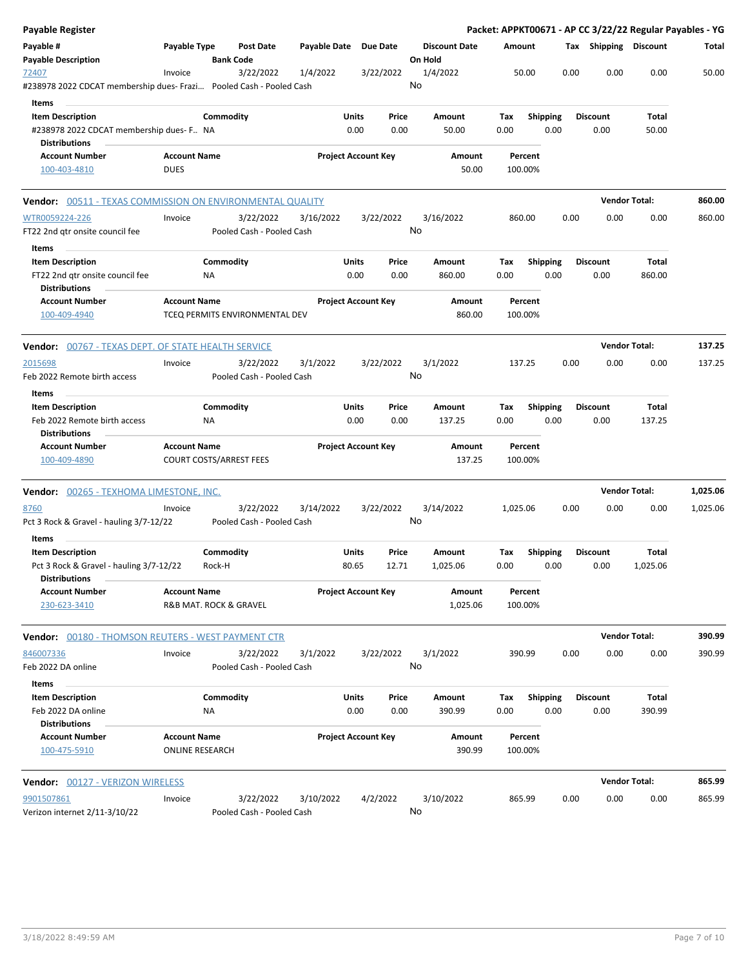| Payable Register                                                                                    |                        |           |                                |                       |       |                            |          |                      |                    |                 |      |                       | Packet: APPKT00671 - AP CC 3/22/22 Regular Payables - YG |          |
|-----------------------------------------------------------------------------------------------------|------------------------|-----------|--------------------------------|-----------------------|-------|----------------------------|----------|----------------------|--------------------|-----------------|------|-----------------------|----------------------------------------------------------|----------|
| Payable #<br><b>Payable Description</b>                                                             | Payable Type           |           | Post Date<br><b>Bank Code</b>  | Payable Date Due Date |       |                            | On Hold  | <b>Discount Date</b> | Amount             |                 |      | Tax Shipping Discount |                                                          | Total    |
| 72407                                                                                               | Invoice                |           | 3/22/2022                      | 1/4/2022              |       | 3/22/2022                  | 1/4/2022 |                      | 50.00              |                 | 0.00 | 0.00                  | 0.00                                                     | 50.00    |
| #238978 2022 CDCAT membership dues- Frazi                                 Pooled Cash - Pooled Cash |                        |           |                                |                       |       |                            | No       |                      |                    |                 |      |                       |                                                          |          |
| Items                                                                                               |                        |           |                                |                       |       |                            |          |                      |                    |                 |      |                       |                                                          |          |
| <b>Item Description</b>                                                                             |                        | Commodity |                                |                       | Units | Price                      |          | Amount               | Tax                | <b>Shipping</b> |      | <b>Discount</b>       | Total                                                    |          |
| #238978 2022 CDCAT membership dues- F NA<br><b>Distributions</b>                                    |                        |           |                                |                       | 0.00  | 0.00                       |          | 50.00                | 0.00               | 0.00            |      | 0.00                  | 50.00                                                    |          |
| <b>Account Number</b>                                                                               | <b>Account Name</b>    |           |                                |                       |       | <b>Project Account Key</b> |          | Amount               | Percent            |                 |      |                       |                                                          |          |
| 100-403-4810                                                                                        | <b>DUES</b>            |           |                                |                       |       |                            |          | 50.00                | 100.00%            |                 |      |                       |                                                          |          |
| <b>Vendor:</b> 00511 - TEXAS COMMISSION ON ENVIRONMENTAL QUALITY                                    |                        |           |                                |                       |       |                            |          |                      |                    |                 |      |                       | <b>Vendor Total:</b>                                     | 860.00   |
| WTR0059224-226                                                                                      | Invoice                |           | 3/22/2022                      | 3/16/2022             |       | 3/22/2022                  |          | 3/16/2022            | 860.00             |                 | 0.00 | 0.00                  | 0.00                                                     | 860.00   |
| FT22 2nd gtr onsite council fee                                                                     |                        |           | Pooled Cash - Pooled Cash      |                       |       |                            | No       |                      |                    |                 |      |                       |                                                          |          |
| Items                                                                                               |                        |           |                                |                       |       |                            |          |                      |                    |                 |      |                       |                                                          |          |
| <b>Item Description</b>                                                                             |                        | Commodity |                                |                       | Units | Price                      |          | Amount               | Tax                | <b>Shipping</b> |      | <b>Discount</b>       | Total                                                    |          |
| FT22 2nd gtr onsite council fee                                                                     |                        | ΝA        |                                |                       | 0.00  | 0.00                       |          | 860.00               | 0.00               | 0.00            |      | 0.00                  | 860.00                                                   |          |
| <b>Distributions</b>                                                                                |                        |           |                                |                       |       |                            |          |                      |                    |                 |      |                       |                                                          |          |
| <b>Account Number</b>                                                                               | <b>Account Name</b>    |           |                                |                       |       | <b>Project Account Key</b> |          | Amount               | Percent            |                 |      |                       |                                                          |          |
| 100-409-4940                                                                                        |                        |           | TCEQ PERMITS ENVIRONMENTAL DEV |                       |       |                            |          | 860.00               | 100.00%            |                 |      |                       |                                                          |          |
| <b>Vendor:</b> 00767 - TEXAS DEPT. OF STATE HEALTH SERVICE                                          |                        |           |                                |                       |       |                            |          |                      |                    |                 |      |                       | <b>Vendor Total:</b>                                     | 137.25   |
| 2015698                                                                                             | Invoice                |           | 3/22/2022                      | 3/1/2022              |       | 3/22/2022                  | 3/1/2022 |                      | 137.25             |                 | 0.00 | 0.00                  | 0.00                                                     | 137.25   |
| Feb 2022 Remote birth access                                                                        |                        |           | Pooled Cash - Pooled Cash      |                       |       |                            | No       |                      |                    |                 |      |                       |                                                          |          |
| Items                                                                                               |                        |           |                                |                       |       |                            |          |                      |                    |                 |      |                       |                                                          |          |
| <b>Item Description</b>                                                                             |                        | Commodity |                                |                       | Units | Price                      |          | Amount               | Tax                | <b>Shipping</b> |      | <b>Discount</b>       | Total                                                    |          |
| Feb 2022 Remote birth access                                                                        |                        | ΝA        |                                |                       | 0.00  | 0.00                       |          | 137.25               | 0.00               | 0.00            |      | 0.00                  | 137.25                                                   |          |
| <b>Distributions</b>                                                                                |                        |           |                                |                       |       |                            |          |                      |                    |                 |      |                       |                                                          |          |
| <b>Account Number</b><br>100-409-4890                                                               | <b>Account Name</b>    |           | <b>COURT COSTS/ARREST FEES</b> |                       |       | <b>Project Account Key</b> |          | Amount<br>137.25     | Percent<br>100.00% |                 |      |                       |                                                          |          |
|                                                                                                     |                        |           |                                |                       |       |                            |          |                      |                    |                 |      |                       |                                                          |          |
| <b>Vendor:</b> 00265 - TEXHOMA LIMESTONE, INC.                                                      |                        |           |                                |                       |       |                            |          |                      |                    |                 |      |                       | <b>Vendor Total:</b>                                     | 1,025.06 |
| 8760                                                                                                | Invoice                |           | 3/22/2022                      | 3/14/2022             |       | 3/22/2022                  |          | 3/14/2022            | 1,025.06           |                 | 0.00 | 0.00                  | 0.00                                                     | 1,025.06 |
| Pct 3 Rock & Gravel - hauling 3/7-12/22                                                             |                        |           | Pooled Cash - Pooled Cash      |                       |       |                            | No       |                      |                    |                 |      |                       |                                                          |          |
| Items                                                                                               |                        |           |                                |                       |       |                            |          |                      |                    |                 |      |                       |                                                          |          |
| <b>Item Description</b>                                                                             |                        | Commodity |                                |                       | Units | Price                      |          | Amount               | Tax                | <b>Shipping</b> |      | <b>Discount</b>       | Total                                                    |          |
| Pct 3 Rock & Gravel - hauling 3/7-12/22<br><b>Distributions</b>                                     |                        | Rock-H    |                                |                       | 80.65 | 12.71                      |          | 1,025.06             | 0.00               | 0.00            |      | 0.00                  | 1,025.06                                                 |          |
| <b>Account Number</b>                                                                               | <b>Account Name</b>    |           |                                |                       |       | <b>Project Account Key</b> |          | Amount               | Percent            |                 |      |                       |                                                          |          |
| 230-623-3410                                                                                        | R&B MAT. ROCK & GRAVEL |           |                                |                       |       |                            |          | 1,025.06             | 100.00%            |                 |      |                       |                                                          |          |
| <b>Vendor:</b> 00180 - THOMSON REUTERS - WEST PAYMENT CTR                                           |                        |           |                                |                       |       |                            |          |                      |                    |                 |      |                       | <b>Vendor Total:</b>                                     | 390.99   |
| 846007336                                                                                           | Invoice                |           | 3/22/2022                      | 3/1/2022              |       | 3/22/2022                  | 3/1/2022 |                      | 390.99             |                 | 0.00 | 0.00                  | 0.00                                                     | 390.99   |
| Feb 2022 DA online                                                                                  |                        |           | Pooled Cash - Pooled Cash      |                       |       |                            | No       |                      |                    |                 |      |                       |                                                          |          |
| Items                                                                                               |                        |           |                                |                       |       |                            |          |                      |                    |                 |      |                       |                                                          |          |
| <b>Item Description</b>                                                                             |                        | Commodity |                                |                       | Units | Price                      |          | Amount               | Tax                | <b>Shipping</b> |      | <b>Discount</b>       | <b>Total</b>                                             |          |
| Feb 2022 DA online                                                                                  |                        | NA        |                                |                       | 0.00  | 0.00                       |          | 390.99               | 0.00               | 0.00            |      | 0.00                  | 390.99                                                   |          |
| <b>Distributions</b>                                                                                |                        |           |                                |                       |       |                            |          |                      |                    |                 |      |                       |                                                          |          |
| <b>Account Number</b>                                                                               | <b>Account Name</b>    |           |                                |                       |       | <b>Project Account Key</b> |          | Amount               | Percent            |                 |      |                       |                                                          |          |
| 100-475-5910                                                                                        | <b>ONLINE RESEARCH</b> |           |                                |                       |       |                            |          | 390.99               | 100.00%            |                 |      |                       |                                                          |          |
| Vendor: 00127 - VERIZON WIRELESS                                                                    |                        |           |                                |                       |       |                            |          |                      |                    |                 |      |                       | <b>Vendor Total:</b>                                     | 865.99   |
| 9901507861                                                                                          | Invoice                |           | 3/22/2022                      | 3/10/2022             |       | 4/2/2022                   |          | 3/10/2022            | 865.99             |                 | 0.00 | 0.00                  | 0.00                                                     | 865.99   |
| Verizon internet 2/11-3/10/22                                                                       |                        |           | Pooled Cash - Pooled Cash      |                       |       |                            | No       |                      |                    |                 |      |                       |                                                          |          |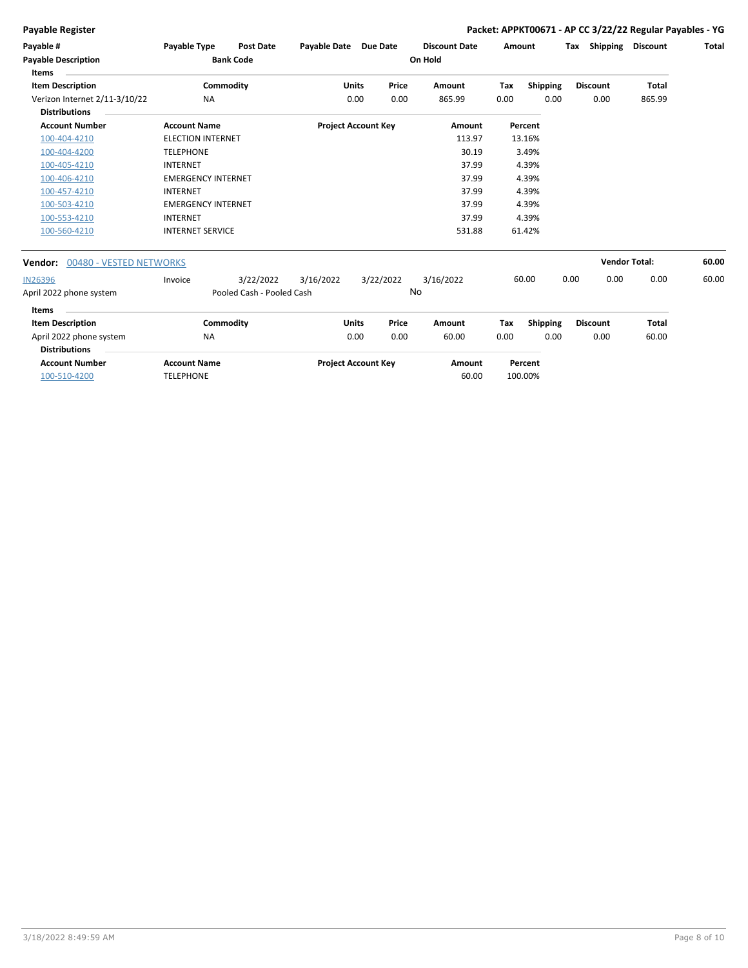$\overline{a}$ 

### **Payable Register Packet: APPKT00671 - AP CC 3/22/22 Regular Payables - YG**

| Payable #<br><b>Payable Description</b><br><b>Items</b> | <b>Payable Type</b>       | <b>Post Date</b><br><b>Bank Code</b> | Payable Date               |              | <b>Due Date</b> | <b>Discount Date</b><br>On Hold | Amount |                 | Тах  | Shipping             | <b>Discount</b> | Total |
|---------------------------------------------------------|---------------------------|--------------------------------------|----------------------------|--------------|-----------------|---------------------------------|--------|-----------------|------|----------------------|-----------------|-------|
| <b>Item Description</b>                                 |                           | Commodity                            |                            | Units        | Price           | Amount                          | Tax    | <b>Shipping</b> |      | <b>Discount</b>      | Total           |       |
| Verizon Internet 2/11-3/10/22<br><b>Distributions</b>   | <b>NA</b>                 |                                      |                            | 0.00         | 0.00            | 865.99                          | 0.00   | 0.00            |      | 0.00                 | 865.99          |       |
| <b>Account Number</b>                                   | <b>Account Name</b>       |                                      | <b>Project Account Key</b> |              |                 | Amount                          |        | Percent         |      |                      |                 |       |
| 100-404-4210                                            | <b>ELECTION INTERNET</b>  |                                      |                            |              |                 | 113.97                          |        | 13.16%          |      |                      |                 |       |
| 100-404-4200                                            | <b>TELEPHONE</b>          |                                      |                            |              |                 | 30.19                           |        | 3.49%           |      |                      |                 |       |
| 100-405-4210                                            | <b>INTERNET</b>           |                                      |                            |              |                 | 37.99                           |        | 4.39%           |      |                      |                 |       |
| 100-406-4210                                            | <b>EMERGENCY INTERNET</b> |                                      |                            |              |                 | 37.99                           |        | 4.39%           |      |                      |                 |       |
| 100-457-4210                                            | <b>INTERNET</b>           |                                      |                            |              |                 | 37.99                           |        | 4.39%           |      |                      |                 |       |
| 100-503-4210                                            | <b>EMERGENCY INTERNET</b> |                                      |                            |              |                 | 37.99                           |        | 4.39%           |      |                      |                 |       |
| 100-553-4210                                            | <b>INTERNET</b>           |                                      |                            |              |                 | 37.99                           |        | 4.39%           |      |                      |                 |       |
| 100-560-4210                                            | <b>INTERNET SERVICE</b>   |                                      |                            |              |                 | 531.88                          |        | 61.42%          |      |                      |                 |       |
| 00480 - VESTED NETWORKS<br>Vendor:                      |                           |                                      |                            |              |                 |                                 |        |                 |      | <b>Vendor Total:</b> |                 | 60.00 |
| <b>IN26396</b>                                          | Invoice                   | 3/22/2022                            | 3/16/2022                  |              | 3/22/2022       | 3/16/2022                       |        | 60.00           | 0.00 | 0.00                 | 0.00            | 60.00 |
| April 2022 phone system                                 |                           | Pooled Cash - Pooled Cash            |                            |              | No              |                                 |        |                 |      |                      |                 |       |
| Items                                                   |                           |                                      |                            |              |                 |                                 |        |                 |      |                      |                 |       |
| <b>Item Description</b>                                 |                           | Commodity                            |                            | <b>Units</b> | Price           | Amount                          | Tax    | Shipping        |      | <b>Discount</b>      | Total           |       |
| April 2022 phone system<br><b>Distributions</b>         | <b>NA</b>                 |                                      |                            | 0.00         | 0.00            | 60.00                           | 0.00   | 0.00            |      | 0.00                 | 60.00           |       |
| <b>Account Number</b>                                   | <b>Account Name</b>       |                                      | <b>Project Account Key</b> |              |                 | Amount                          |        | Percent         |      |                      |                 |       |

**Account Number Account Name Project Account Key Amount** 100-510-4200 TELEPHONE 60.00 100.00%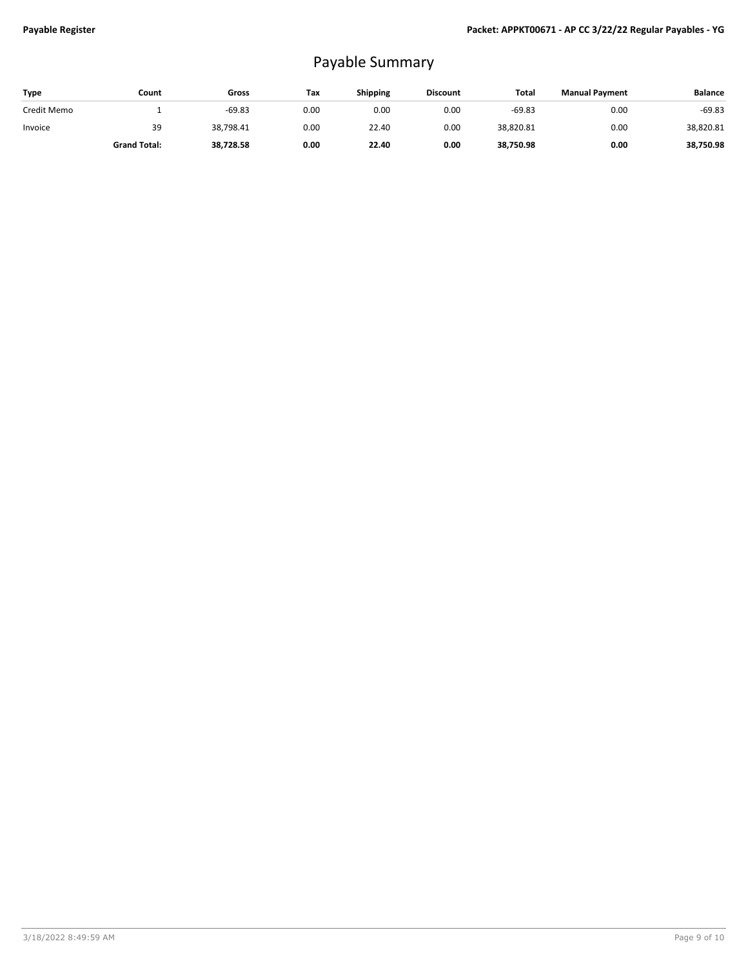## Payable Summary

| <b>Type</b> | Count               | Gross     | Tax  | <b>Shipping</b> | <b>Discount</b> | Total     | <b>Manual Payment</b> | <b>Balance</b> |
|-------------|---------------------|-----------|------|-----------------|-----------------|-----------|-----------------------|----------------|
| Credit Memo |                     | $-69.83$  | 0.00 | 0.00            | 0.00            | $-69.83$  | 0.00                  | $-69.83$       |
| Invoice     | 39                  | 38,798.41 | 0.00 | 22.40           | 0.00            | 38,820.81 | 0.00                  | 38,820.81      |
|             | <b>Grand Total:</b> | 38,728.58 | 0.00 | 22.40           | 0.00            | 38,750.98 | 0.00                  | 38.750.98      |